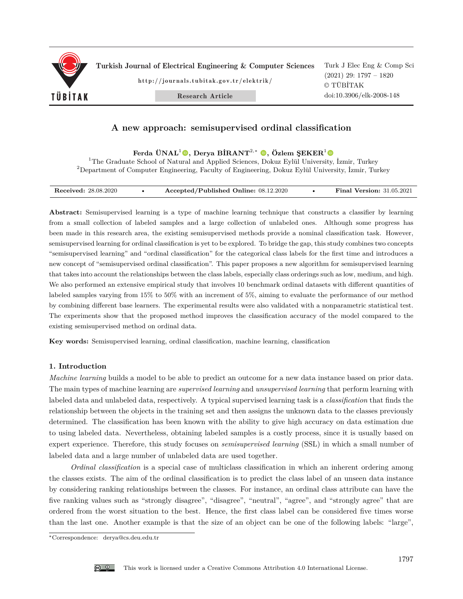

Turkish Journal of Electrical Engineering & Computer Sciences

http://journals.tubitak.gov.tr/elektrik/

Research Article

Turk J Elec Eng & Comp Sci (2021) 29: 1797 – 1820 © TÜBİTAK doi:10.3906/elk-2008-148

# **A new approach: semisupervised ordinal classification**

**Ferda ÜNAL**<sup>1</sup>**, Derya BİRANT**<sup>2</sup>*,*<sup>∗</sup> **, Özlem ŞEKER**<sup>1</sup>

<sup>1</sup>The Graduate School of Natural and Applied Sciences, Dokuz Eylül University, İzmir, Turkey <sup>2</sup>Department of Computer Engineering, Faculty of Engineering, Dokuz Eylül University, İzmir, Turkey

| <b>Received:</b> 28.08.2020 |  | Accepted/Published Online: 08.12.2020 |  | <b>Final Version: 31.05.2021</b> |
|-----------------------------|--|---------------------------------------|--|----------------------------------|
|-----------------------------|--|---------------------------------------|--|----------------------------------|

**Abstract:** Semisupervised learning is a type of machine learning technique that constructs a classifier by learning from a small collection of labeled samples and a large collection of unlabeled ones. Although some progress has been made in this research area, the existing semisupervised methods provide a nominal classification task. However, semisupervised learning for ordinal classification is yet to be explored. To bridge the gap, this study combines two concepts "semisupervised learning" and "ordinal classification" for the categorical class labels for the first time and introduces a new concept of "semisupervised ordinal classification". This paper proposes a new algorithm for semisupervised learning that takes into account the relationships between the class labels, especially class orderings such as low, medium, and high. We also performed an extensive empirical study that involves 10 benchmark ordinal datasets with different quantities of labeled samples varying from 15% to 50% with an increment of 5%, aiming to evaluate the performance of our method by combining different base learners. The experimental results were also validated with a nonparametric statistical test. The experiments show that the proposed method improves the classification accuracy of the model compared to the existing semisupervised method on ordinal data.

**Key words:** Semisupervised learning, ordinal classification, machine learning, classification

# **1. Introduction**

*Machine learning* builds a model to be able to predict an outcome for a new data instance based on prior data. The main types of machine learning are *supervised learning* and *unsupervised learning* that perform learning with labeled data and unlabeled data, respectively. A typical supervised learning task is a *classification* that finds the relationship between the objects in the training set and then assigns the unknown data to the classes previously determined. The classification has been known with the ability to give high accuracy on data estimation due to using labeled data. Nevertheless, obtaining labeled samples is a costly process, since it is usually based on expert experience. Therefore, this study focuses on *semisupervised learning* (SSL) in which a small number of labeled data and a large number of unlabeled data are used together.

*Ordinal classification* is a special case of multiclass classification in which an inherent ordering among the classes exists. The aim of the ordinal classification is to predict the class label of an unseen data instance by considering ranking relationships between the classes. For instance, an ordinal class attribute can have the five ranking values such as "strongly disagree", "disagree", "neutral", "agree", and "strongly agree" that are ordered from the worst situation to the best. Hence, the first class label can be considered five times worse than the last one. Another example is that the size of an object can be one of the following labels: "large",

<sup>∗</sup>Correspondence: derya@cs.deu.edu.tr

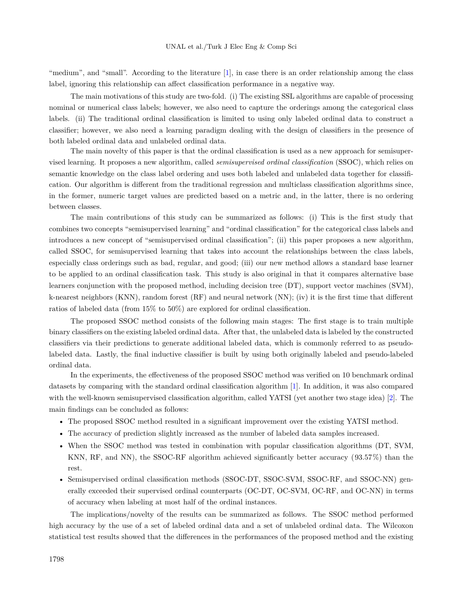"medium", and "small". According to the literature [\[1](#page-22-0)], in case there is an order relationship among the class label, ignoring this relationship can affect classification performance in a negative way.

The main motivations of this study are two-fold. (i) The existing SSL algorithms are capable of processing nominal or numerical class labels; however, we also need to capture the orderings among the categorical class labels. (ii) The traditional ordinal classification is limited to using only labeled ordinal data to construct a classifier; however, we also need a learning paradigm dealing with the design of classifiers in the presence of both labeled ordinal data and unlabeled ordinal data.

The main novelty of this paper is that the ordinal classification is used as a new approach for semisupervised learning. It proposes a new algorithm, called *semisupervised ordinal classification* (SSOC), which relies on semantic knowledge on the class label ordering and uses both labeled and unlabeled data together for classification. Our algorithm is different from the traditional regression and multiclass classification algorithms since, in the former, numeric target values are predicted based on a metric and, in the latter, there is no ordering between classes.

The main contributions of this study can be summarized as follows: (i) This is the first study that combines two concepts "semisupervised learning" and "ordinal classification" for the categorical class labels and introduces a new concept of "semisupervised ordinal classification"; (ii) this paper proposes a new algorithm, called SSOC, for semisupervised learning that takes into account the relationships between the class labels, especially class orderings such as bad, regular, and good; (iii) our new method allows a standard base learner to be applied to an ordinal classification task. This study is also original in that it compares alternative base learners conjunction with the proposed method, including decision tree (DT), support vector machines (SVM), k-nearest neighbors (KNN), random forest (RF) and neural network (NN); (iv) it is the first time that different ratios of labeled data (from 15% to 50%) are explored for ordinal classification.

The proposed SSOC method consists of the following main stages: The first stage is to train multiple binary classifiers on the existing labeled ordinal data. After that, the unlabeled data is labeled by the constructed classifiers via their predictions to generate additional labeled data, which is commonly referred to as pseudolabeled data. Lastly, the final inductive classifier is built by using both originally labeled and pseudo-labeled ordinal data.

In the experiments, the effectiveness of the proposed SSOC method was verified on 10 benchmark ordinal datasets by comparing with the standard ordinal classification algorithm [[1\]](#page-22-0). In addition, it was also compared with the well-known semisupervised classification algorithm, called YATSI (yet another two stage idea) [[2\]](#page-22-1). The main findings can be concluded as follows:

- The proposed SSOC method resulted in a significant improvement over the existing YATSI method.
- The accuracy of prediction slightly increased as the number of labeled data samples increased.
- When the SSOC method was tested in combination with popular classification algorithms (DT, SVM, KNN, RF, and NN), the SSOC-RF algorithm achieved significantly better accuracy (93*.*57%) than the rest.
- Semisupervised ordinal classification methods (SSOC-DT, SSOC-SVM, SSOC-RF, and SSOC-NN) generally exceeded their supervised ordinal counterparts (OC-DT, OC-SVM, OC-RF, and OC-NN) in terms of accuracy when labeling at most half of the ordinal instances.

The implications/novelty of the results can be summarized as follows. The SSOC method performed high accuracy by the use of a set of labeled ordinal data and a set of unlabeled ordinal data. The Wilcoxon statistical test results showed that the differences in the performances of the proposed method and the existing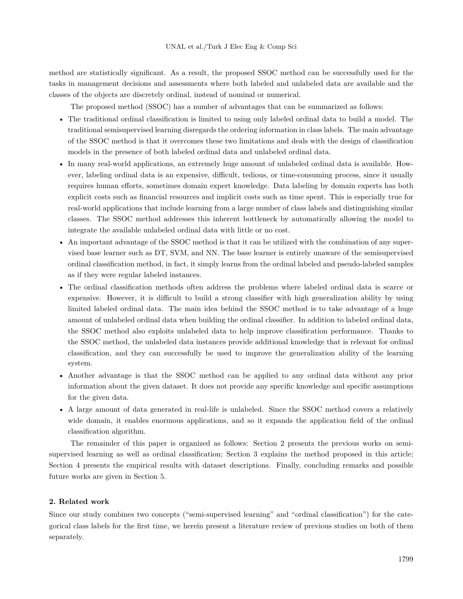method are statistically significant. As a result, the proposed SSOC method can be successfully used for the tasks in management decisions and assessments where both labeled and unlabeled data are available and the classes of the objects are discretely ordinal, instead of nominal or numerical.

The proposed method (SSOC) has a number of advantages that can be summarized as follows:

- The traditional ordinal classification is limited to using only labeled ordinal data to build a model. The traditional semisupervised learning disregards the ordering information in class labels. The main advantage of the SSOC method is that it overcomes these two limitations and deals with the design of classification models in the presence of both labeled ordinal data and unlabeled ordinal data.
- In many real-world applications, an extremely huge amount of unlabeled ordinal data is available. However, labeling ordinal data is an expensive, difficult, tedious, or time-consuming process, since it usually requires human efforts, sometimes domain expert knowledge. Data labeling by domain experts has both explicit costs such as financial resources and implicit costs such as time spent. This is especially true for real-world applications that include learning from a large number of class labels and distinguishing similar classes. The SSOC method addresses this inherent bottleneck by automatically allowing the model to integrate the available unlabeled ordinal data with little or no cost.
- An important advantage of the SSOC method is that it can be utilized with the combination of any supervised base learner such as DT, SVM, and NN. The base learner is entirely unaware of the semisupervised ordinal classification method, in fact, it simply learns from the ordinal labeled and pseudo-labeled samples as if they were regular labeled instances.
- The ordinal classification methods often address the problems where labeled ordinal data is scarce or expensive. However, it is difficult to build a strong classifier with high generalization ability by using limited labeled ordinal data. The main idea behind the SSOC method is to take advantage of a huge amount of unlabeled ordinal data when building the ordinal classifier. In addition to labeled ordinal data, the SSOC method also exploits unlabeled data to help improve classification performance. Thanks to the SSOC method, the unlabeled data instances provide additional knowledge that is relevant for ordinal classification, and they can successfully be used to improve the generalization ability of the learning system.
- Another advantage is that the SSOC method can be applied to any ordinal data without any prior information about the given dataset. It does not provide any specific knowledge and specific assumptions for the given data.
- A large amount of data generated in real-life is unlabeled. Since the SSOC method covers a relatively wide domain, it enables enormous applications, and so it expands the application field of the ordinal classification algorithm.

The remainder of this paper is organized as follows: Section 2 presents the previous works on semisupervised learning as well as ordinal classification; Section 3 explains the method proposed in this article; Section 4 presents the empirical results with dataset descriptions. Finally, concluding remarks and possible future works are given in Section 5.

# **2. Related work**

Since our study combines two concepts ("semi-supervised learning" and "ordinal classification") for the categorical class labels for the first time, we herein present a literature review of previous studies on both of them separately.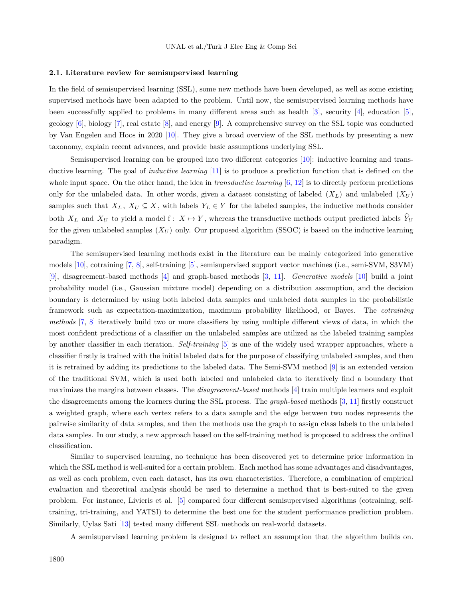#### **2.1. Literature review for semisupervised learning**

In the field of semisupervised learning (SSL), some new methods have been developed, as well as some existing supervised methods have been adapted to the problem. Until now, the semisupervised learning methods have been successfully applied to problems in many different areas such as health [[3\]](#page-22-2), security [[4\]](#page-22-3), education [\[5](#page-22-4)], geology  $[6]$ , biology  $[7]$  $[7]$ , real estate  $[8]$ , and energy  $[9]$ . A comprehensive survey on the SSL topic was conducted by Van Engelen and Hoos in 2020 [\[10](#page-23-2)]. They give a broad overview of the SSL methods by presenting a new taxonomy, explain recent advances, and provide basic assumptions underlying SSL.

Semisupervised learning can be grouped into two different categories [[10\]](#page-23-2): inductive learning and transductive learning. The goal of *inductive learning* [\[11](#page-23-3)] is to produce a prediction function that is defined on the whole input space. On the other hand, the idea in *transductive learning* [[6,](#page-22-5) [12](#page-23-4)] is to directly perform predictions only for the unlabeled data. In other words, given a dataset consisting of labeled  $(X_L)$  and unlabeled  $(X_U)$ samples such that  $X_L$ ,  $X_U \subseteq X$ , with labels  $Y_L \in Y$  for the labeled samples, the inductive methods consider both  $X_L$  and  $X_U$  to yield a model f:  $X \mapsto Y$ , whereas the transductive methods output predicted labels  $\hat{Y}_U$ for the given unlabeled samples  $(X_U)$  only. Our proposed algorithm (SSOC) is based on the inductive learning paradigm.

The semisupervised learning methods exist in the literature can be mainly categorized into generative models [\[10\]](#page-23-2), cotraining [\[7](#page-22-6), [8](#page-23-0)], self-training [[5\]](#page-22-4), semisupervised support vector machines (i.e., semi-SVM, S3VM) [[9\]](#page-23-1), disagreement-based methods [\[4](#page-22-3)] and graph-based methods [\[3](#page-22-2), [11](#page-23-3)]. *Generative models* [[10\]](#page-23-2) build a joint probability model (i.e., Gaussian mixture model) depending on a distribution assumption, and the decision boundary is determined by using both labeled data samples and unlabeled data samples in the probabilistic framework such as expectation-maximization, maximum probability likelihood, or Bayes. The *cotraining methods* [[7,](#page-22-6) [8](#page-23-0)] iteratively build two or more classifiers by using multiple different views of data, in which the most confident predictions of a classifier on the unlabeled samples are utilized as the labeled training samples by another classifier in each iteration. *Self-training* [[5\]](#page-22-4) is one of the widely used wrapper approaches, where a classifier firstly is trained with the initial labeled data for the purpose of classifying unlabeled samples, and then it is retrained by adding its predictions to the labeled data. The Semi-SVM method [[9\]](#page-23-1) is an extended version of the traditional SVM, which is used both labeled and unlabeled data to iteratively find a boundary that maximizes the margins between classes. The *disagreement-based* methods [\[4](#page-22-3)] train multiple learners and exploit the disagreements among the learners during the SSL process. The *graph-based* methods[[3,](#page-22-2) [11\]](#page-23-3) firstly construct a weighted graph, where each vertex refers to a data sample and the edge between two nodes represents the pairwise similarity of data samples, and then the methods use the graph to assign class labels to the unlabeled data samples. In our study, a new approach based on the self-training method is proposed to address the ordinal classification.

Similar to supervised learning, no technique has been discovered yet to determine prior information in which the SSL method is well-suited for a certain problem. Each method has some advantages and disadvantages, as well as each problem, even each dataset, has its own characteristics. Therefore, a combination of empirical evaluation and theoretical analysis should be used to determine a method that is best-suited to the given problem. For instance, Livieris et al. [\[5](#page-22-4)] compared four different semisupervised algorithms (cotraining, selftraining, tri-training, and YATSI) to determine the best one for the student performance prediction problem. Similarly, Uylas Sati [\[13](#page-23-5)] tested many different SSL methods on real-world datasets.

A semisupervised learning problem is designed to reflect an assumption that the algorithm builds on.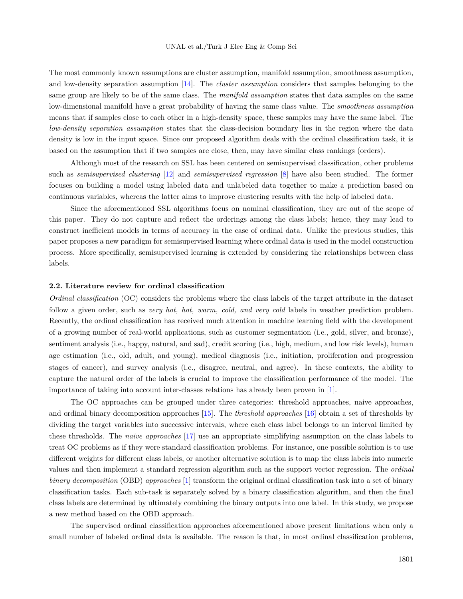The most commonly known assumptions are cluster assumption, manifold assumption, smoothness assumption, and low-density separation assumption [[14\]](#page-23-6). The *cluster assumption* considers that samples belonging to the same group are likely to be of the same class. The *manifold assumption* states that data samples on the same low-dimensional manifold have a great probability of having the same class value. The *smoothness assumption* means that if samples close to each other in a high-density space, these samples may have the same label. The *low-density separation assumption* states that the class-decision boundary lies in the region where the data density is low in the input space. Since our proposed algorithm deals with the ordinal classification task, it is based on the assumption that if two samples are close, then, may have similar class rankings (orders).

Although most of the research on SSL has been centered on semisupervised classification, other problems such as *semisupervised clustering* [[12\]](#page-23-4) and *semisupervised regression* [[8\]](#page-23-0) have also been studied. The former focuses on building a model using labeled data and unlabeled data together to make a prediction based on continuous variables, whereas the latter aims to improve clustering results with the help of labeled data.

Since the aforementioned SSL algorithms focus on nominal classification, they are out of the scope of this paper. They do not capture and reflect the orderings among the class labels; hence, they may lead to construct inefficient models in terms of accuracy in the case of ordinal data. Unlike the previous studies, this paper proposes a new paradigm for semisupervised learning where ordinal data is used in the model construction process. More specifically, semisupervised learning is extended by considering the relationships between class labels.

## **2.2. Literature review for ordinal classification**

*Ordinal classification* (OC) considers the problems where the class labels of the target attribute in the dataset follow a given order, such as *very hot, hot, warm, cold, and very cold* labels in weather prediction problem. Recently, the ordinal classification has received much attention in machine learning field with the development of a growing number of real-world applications, such as customer segmentation (i.e., gold, silver, and bronze), sentiment analysis (i.e., happy, natural, and sad), credit scoring (i.e., high, medium, and low risk levels), human age estimation (i.e., old, adult, and young), medical diagnosis (i.e., initiation, proliferation and progression stages of cancer), and survey analysis (i.e., disagree, neutral, and agree). In these contexts, the ability to capture the natural order of the labels is crucial to improve the classification performance of the model. The importance of taking into account inter-classes relations has already been proven in [\[1](#page-22-0)].

The OC approaches can be grouped under three categories: threshold approaches, naive approaches, and ordinal binary decomposition approaches [[15\]](#page-23-7). The *threshold approaches* [[16\]](#page-23-8) obtain a set of thresholds by dividing the target variables into successive intervals, where each class label belongs to an interval limited by these thresholds. The *naive approaches* [[17\]](#page-23-9) use an appropriate simplifying assumption on the class labels to treat OC problems as if they were standard classification problems. For instance, one possible solution is to use different weights for different class labels, or another alternative solution is to map the class labels into numeric values and then implement a standard regression algorithm such as the support vector regression. The *ordinal binary decomposition* (OBD) *approaches* [[1\]](#page-22-0) transform the original ordinal classification task into a set of binary classification tasks. Each sub-task is separately solved by a binary classification algorithm, and then the final class labels are determined by ultimately combining the binary outputs into one label. In this study, we propose a new method based on the OBD approach.

The supervised ordinal classification approaches aforementioned above present limitations when only a small number of labeled ordinal data is available. The reason is that, in most ordinal classification problems,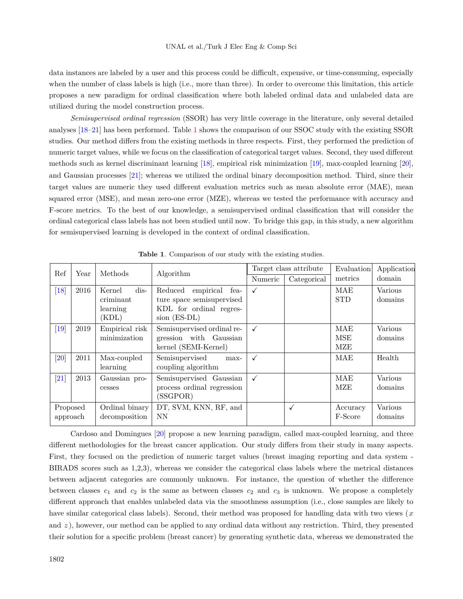data instances are labeled by a user and this process could be difficult, expensive, or time-consuming, especially when the number of class labels is high (i.e., more than three). In order to overcome this limitation, this article proposes a new paradigm for ordinal classification where both labeled ordinal data and unlabeled data are utilized during the model construction process.

*Semisupervised ordinal regression* (SSOR) has very little coverage in the literature, only several detailed analyses [\[18](#page-23-10)[–21](#page-23-11)] has been performed. Table [1](#page-5-0) shows the comparison of our SSOC study with the existing SSOR studies. Our method differs from the existing methods in three respects. First, they performed the prediction of numeric target values, while we focus on the classification of categorical target values. Second, they used different methods such as kernel discriminant learning [\[18](#page-23-10)], empirical risk minimization [[19\]](#page-23-12), max-coupled learning [\[20](#page-23-13)], and Gaussian processes [[21](#page-23-11)]; whereas we utilized the ordinal binary decomposition method. Third, since their target values are numeric they used different evaluation metrics such as mean absolute error (MAE), mean squared error (MSE), and mean zero-one error (MZE), whereas we tested the performance with accuracy and F-score metrics. To the best of our knowledge, a semisupervised ordinal classification that will consider the ordinal categorical class labels has not been studied until now. To bridge this gap, in this study, a new algorithm for semisupervised learning is developed in the context of ordinal classification.

<span id="page-5-0"></span>

| Ref                        |      | Methods                                           |                                                                                                      |              | Target class attribute | Evaluation               | Application        |
|----------------------------|------|---------------------------------------------------|------------------------------------------------------------------------------------------------------|--------------|------------------------|--------------------------|--------------------|
|                            | Year |                                                   | Algorithm                                                                                            | Numeric      | Categorical            | metrics                  | domain             |
| $\overline{18}$            | 2016 | $dis-$<br>Kernel<br>criminant<br>learning<br>KDL) | empirical<br>Reduced<br>fea-<br>ture space semisupervised<br>KDL for ordinal regres-<br>sion (ES-DL) |              |                        | MAE<br><b>STD</b>        | Various<br>domains |
| $\vert 19 \vert$           | 2019 | Empirical risk<br>minimization                    | Semisupervised ordinal re-<br>gression with Gaussian<br>kernel (SEMI-Kernel)                         |              |                        | MAE<br><b>MSE</b><br>MZE | Various<br>domains |
| $\left\vert 20\right\vert$ | 2011 | Max-coupled<br>learning                           | Semisupervised<br>max-<br>coupling algorithm                                                         | $\checkmark$ |                        | MAE                      | Health             |
| $\left[ 21\right]$         | 2013 | Gaussian pro-<br>cesses                           | Semisupervised Gaussian<br>process ordinal regression<br>(SSGPOR)                                    | $\checkmark$ |                        | MAE<br>MZE               | Various<br>domains |
| Proposed<br>approach       |      | Ordinal binary<br>decomposition                   | DT, SVM, KNN, RF, and<br>NN                                                                          |              | $\checkmark$           | Accuracy<br>F-Score      | Various<br>domains |

**Table 1**. Comparison of our study with the existing studies.

Cardoso and Domingues [[20\]](#page-23-13) propose a new learning paradigm, called max-coupled learning, and three different methodologies for the breast cancer application. Our study differs from their study in many aspects. First, they focused on the prediction of numeric target values (breast imaging reporting and data system - BIRADS scores such as 1,2,3), whereas we consider the categorical class labels where the metrical distances between adjacent categories are commonly unknown. For instance, the question of whether the difference between classes  $c_1$  and  $c_2$  is the same as between classes  $c_2$  and  $c_3$  is unknown. We propose a completely different approach that enables unlabeled data via the smoothness assumption (i.e., close samples are likely to have similar categorical class labels). Second, their method was proposed for handling data with two views (*x* and  $z$ ), however, our method can be applied to any ordinal data without any restriction. Third, they presented their solution for a specific problem (breast cancer) by generating synthetic data, whereas we demonstrated the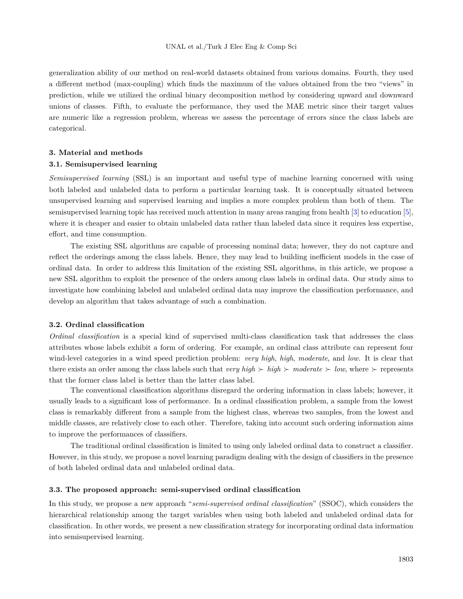generalization ability of our method on real-world datasets obtained from various domains. Fourth, they used a different method (max-coupling) which finds the maximum of the values obtained from the two "views" in prediction, while we utilized the ordinal binary decomposition method by considering upward and downward unions of classes. Fifth, to evaluate the performance, they used the MAE metric since their target values are numeric like a regression problem, whereas we assess the percentage of errors since the class labels are categorical.

## **3. Material and methods**

## **3.1. Semisupervised learning**

*Semisupervised learning* (SSL) is an important and useful type of machine learning concerned with using both labeled and unlabeled data to perform a particular learning task. It is conceptually situated between unsupervised learning and supervised learning and implies a more complex problem than both of them. The semisupervised learning topic has received much attention in many areas ranging from health [\[3](#page-22-2)] to education [\[5](#page-22-4)], where it is cheaper and easier to obtain unlabeled data rather than labeled data since it requires less expertise, effort, and time consumption.

The existing SSL algorithms are capable of processing nominal data; however, they do not capture and reflect the orderings among the class labels. Hence, they may lead to building inefficient models in the case of ordinal data. In order to address this limitation of the existing SSL algorithms, in this article, we propose a new SSL algorithm to exploit the presence of the orders among class labels in ordinal data. Our study aims to investigate how combining labeled and unlabeled ordinal data may improve the classification performance, and develop an algorithm that takes advantage of such a combination.

### **3.2. Ordinal classification**

*Ordinal classification* is a special kind of supervised multi-class classification task that addresses the class attributes whose labels exhibit a form of ordering. For example, an ordinal class attribute can represent four wind-level categories in a wind speed prediction problem: *very high*, *high*, *moderate*, and *low*. It is clear that there exists an order among the class labels such that *very high*  $\succ$  *high*  $\succ$  *moderate*  $\succ$  *low*, where  $\succ$  represents that the former class label is better than the latter class label.

The conventional classification algorithms disregard the ordering information in class labels; however, it usually leads to a significant loss of performance. In a ordinal classification problem, a sample from the lowest class is remarkably different from a sample from the highest class, whereas two samples, from the lowest and middle classes, are relatively close to each other. Therefore, taking into account such ordering information aims to improve the performances of classifiers.

The traditional ordinal classification is limited to using only labeled ordinal data to construct a classifier. However, in this study, we propose a novel learning paradigm dealing with the design of classifiers in the presence of both labeled ordinal data and unlabeled ordinal data.

# **3.3. The proposed approach: semi-supervised ordinal classification**

In this study, we propose a new approach "*semi-supervised ordinal classification*" (SSOC), which considers the hierarchical relationship among the target variables when using both labeled and unlabeled ordinal data for classification. In other words, we present a new classification strategy for incorporating ordinal data information into semisupervised learning.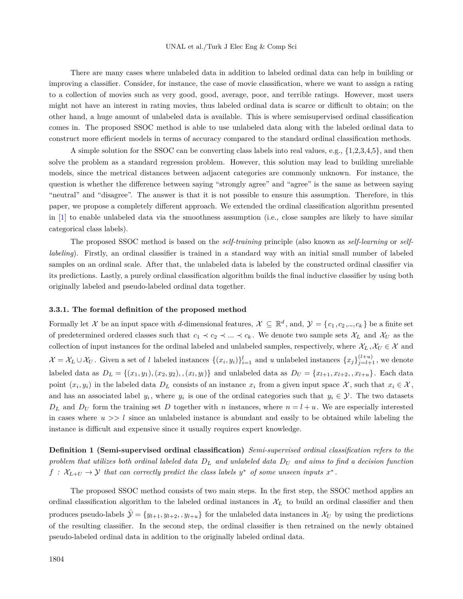There are many cases where unlabeled data in addition to labeled ordinal data can help in building or improving a classifier. Consider, for instance, the case of movie classification, where we want to assign a rating to a collection of movies such as very good, good, average, poor, and terrible ratings. However, most users might not have an interest in rating movies, thus labeled ordinal data is scarce or difficult to obtain; on the other hand, a huge amount of unlabeled data is available. This is where semisupervised ordinal classification comes in. The proposed SSOC method is able to use unlabeled data along with the labeled ordinal data to construct more efficient models in terms of accuracy compared to the standard ordinal classification methods.

A simple solution for the SSOC can be converting class labels into real values, e.g., {1,2,3,4,5}, and then solve the problem as a standard regression problem. However, this solution may lead to building unreliable models, since the metrical distances between adjacent categories are commonly unknown. For instance, the question is whether the difference between saying "strongly agree" and "agree" is the same as between saying "neutral" and "disagree". The answer is that it is not possible to ensure this assumption. Therefore, in this paper, we propose a completely different approach. We extended the ordinal classification algorithm presented in [\[1](#page-22-0)] to enable unlabeled data via the smoothness assumption (i.e., close samples are likely to have similar categorical class labels).

The proposed SSOC method is based on the *self-training* principle (also known as *self-learning* or *selflabeling*). Firstly, an ordinal classifier is trained in a standard way with an initial small number of labeled samples on an ordinal scale. After that, the unlabeled data is labeled by the constructed ordinal classifier via its predictions. Lastly, a purely ordinal classification algorithm builds the final inductive classifier by using both originally labeled and pseudo-labeled ordinal data together.

#### **3.3.1. The formal definition of the proposed method**

Formally let *X* be an input space with *d*-dimensional features,  $X \subseteq \mathbb{R}^d$ , and,  $\mathcal{Y} = \{c_1, c_2, ..., c_k\}$  be a finite set of predetermined ordered classes such that  $c_1 \prec c_2 \prec \ldots \prec c_k$ . We denote two sample sets  $\mathcal{X}_L$  and  $\mathcal{X}_U$  as the collection of input instances for the ordinal labeled and unlabeled samples, respectively, where  $\mathcal{X}_L, \mathcal{X}_U \in \mathcal{X}$  and  $\mathcal{X} = \mathcal{X}_L \cup \mathcal{X}_U$ . Given a set of l labeled instances  $\{(x_i, y_i)\}_{i=1}^l$  and u unlabeled instances  $\{x_j\}_{j=l+1}^{(l+u)}$ , we denote labeled data as  $D_L = \{(x_1, y_1), (x_2, y_2), (x_l, y_l)\}\$ and unlabeled data as  $D_U = \{x_{l+1}, x_{l+2}, , x_{l+u}\}\$ . Each data point  $(x_i, y_i)$  in the labeled data  $D_L$  consists of an instance  $x_i$  from a given input space  $\mathcal X$ , such that  $x_i \in \mathcal X$ , and has an associated label  $y_i$ , where  $y_i$  is one of the ordinal categories such that  $y_i \in \mathcal{Y}$ . The two datasets  $D_L$  and  $D_U$  form the training set *D* together with *n* instances, where  $n = l + u$ . We are especially interested in cases where  $u \gg l$  since an unlabeled instance is abundant and easily to be obtained while labeling the instance is difficult and expensive since it usually requires expert knowledge.

**Definition 1 (Semi-supervised ordinal classification)** *Semi-supervised ordinal classification refers to the problem that utilizes both ordinal labeled data D<sup>L</sup> and unlabeled data D<sup>U</sup> and aims to find a decision function*  $f: \mathcal{X}_{L+U} \to \mathcal{Y}$  that can correctly predict the class labels  $y^*$  of some unseen inputs  $x^*$ .

The proposed SSOC method consists of two main steps. In the first step, the SSOC method applies an ordinal classification algorithm to the labeled ordinal instances in  $\mathcal{X}_L$  to build an ordinal classifier and then produces pseudo-labels  $\hat{\mathcal{Y}} = \{y_{l+1}, y_{l+2}, y_{l+u}\}\$ for the unlabeled data instances in  $\mathcal{X}_U$  by using the predictions of the resulting classifier. In the second step, the ordinal classifier is then retrained on the newly obtained pseudo-labeled ordinal data in addition to the originally labeled ordinal data.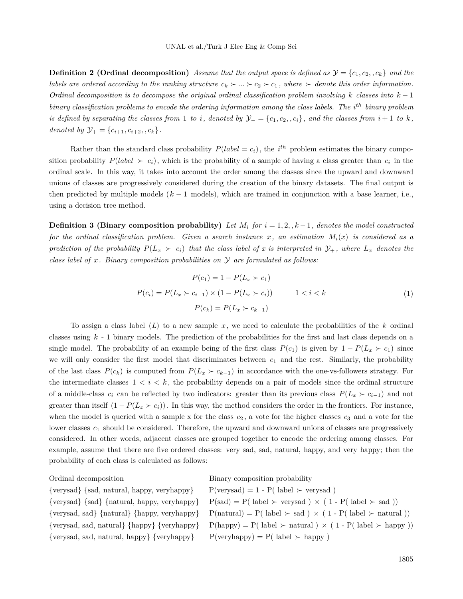**Definition 2 (Ordinal decomposition)** Assume that the output space is defined as  $\mathcal{Y} = \{c_1, c_2, c_k\}$  and the *labels are ordered according to the ranking structure*  $c_k \succ ... \succ c_2 \succ c_1$ , where  $\succ$  denote this order information. *Ordinal decomposition is to decompose the original ordinal classification problem involving k classes into k −* 1 *binary classification problems to encode the ordering information among the class labels. The i th binary problem* is defined by separating the classes from 1 to i, denoted by  $\mathcal{Y}_{-} = \{c_1, c_2, c_i\}$ , and the classes from  $i+1$  to k, *denoted by*  $\mathcal{Y}_+ = \{c_{i+1}, c_{i+2}, , c_k\}.$ 

Rather than the standard class probability  $P(label = c_i)$ , the  $i^{th}$  problem estimates the binary composition probability  $P(label \succ c_i)$ , which is the probability of a sample of having a class greater than  $c_i$  in the ordinal scale. In this way, it takes into account the order among the classes since the upward and downward unions of classes are progressively considered during the creation of the binary datasets. The final output is then predicted by multiple models (*k −* 1 models), which are trained in conjunction with a base learner, i.e., using a decision tree method.

<span id="page-8-0"></span>**Definition 3 (Binary composition probability)** Let  $M_i$  for  $i = 1, 2, k - 1$ , denotes the model constructed *for the ordinal classification problem. Given a search instance x, an estimation Mi*(*x*) *is considered as a prediction of the probability*  $P(L_x \succ c_i)$  *that the class label of x is interpreted in*  $\mathcal{Y}_+$ *, where*  $L_x$  *denotes the class label of x. Binary composition probabilities on Y are formulated as follows:*

$$
P(c_1) = 1 - P(L_x > c_1)
$$
  
\n
$$
P(c_i) = P(L_x > c_{i-1}) \times (1 - P(L_x > c_i)) \qquad 1 < i < k
$$
  
\n
$$
P(c_k) = P(L_x > c_{k-1})
$$
\n(1)

To assign a class label (*L*) to a new sample *x*, we need to calculate the probabilities of the *k* ordinal classes using *k* - 1 binary models. The prediction of the probabilities for the first and last class depends on a single model. The probability of an example being of the first class  $P(c_1)$  is given by  $1 - P(L_x \succ c_1)$  since we will only consider the first model that discriminates between  $c<sub>1</sub>$  and the rest. Similarly, the probability of the last class  $P(c_k)$  is computed from  $P(L_x \succ c_{k-1})$  in accordance with the one-vs-followers strategy. For the intermediate classes  $1 \leq i \leq k$ , the probability depends on a pair of models since the ordinal structure of a middle-class  $c_i$  can be reflected by two indicators: greater than its previous class  $P(L_x \succ c_{i-1})$  and not greater than itself  $(1 - P(L_x \succ c_i))$ . In this way, the method considers the order in the frontiers. For instance, when the model is queried with a sample x for the class  $c_2$ , a vote for the higher classes  $c_3$  and a vote for the lower classes  $c_1$  should be considered. Therefore, the upward and downward unions of classes are progressively considered. In other words, adjacent classes are grouped together to encode the ordering among classes. For example, assume that there are five ordered classes: very sad, sad, natural, happy, and very happy; then the probability of each class is calculated as follows:

 $\{verysad\}$  {sad, natural, happy, veryhappy} P(verysad) = 1 - P( label  $\succ$  verysad) {verysad, sad, natural, happy} {veryhappy} P(veryhappy) = P( label  $\succ$  happy)

Ordinal decomposition Binary composition probability

```
\{ \text{verysad} \} \{ \text{sad} \} \{ \text{natural}, \text{ happy}, \text{veryhappy} \} P(sad) = P(\text{ label} > \text{verysad}) \times (1 - P(\text{ label} > \text{sad}))\{verysad, sad\} \{natural\} \{happy, veryhappy\} P(natural) = P(\label{red} > sad) \times (1 - P(\label{red} \label{red} \label{red} P(\text{label} > sad))\{verysad, sad, natural\} \{happy\} \{veryhappy\} P(happy) = P( label \succ natural ) \times (1 - P( label \succ happy))
```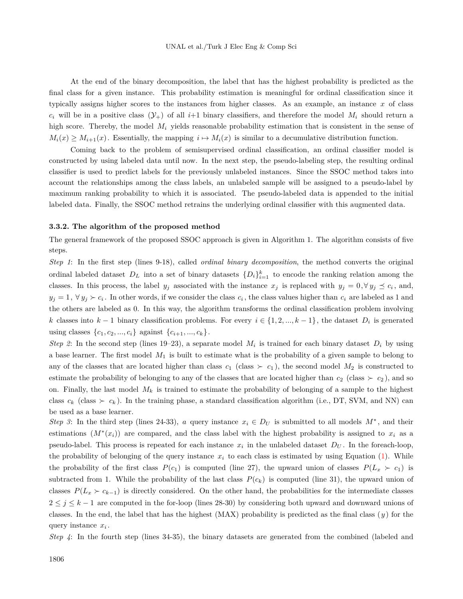At the end of the binary decomposition, the label that has the highest probability is predicted as the final class for a given instance. This probability estimation is meaningful for ordinal classification since it typically assigns higher scores to the instances from higher classes. As an example, an instance *x* of class  $c_i$  will be in a positive class  $(\mathcal{Y}_+)$  of all  $i+1$  binary classifiers, and therefore the model  $M_i$  should return a high score. Thereby, the model  $M_i$  yields reasonable probability estimation that is consistent in the sense of  $M_i(x) \geq M_{i+1}(x)$ . Essentially, the mapping  $i \mapsto M_i(x)$  is similar to a decumulative distribution function.

Coming back to the problem of semisupervised ordinal classification, an ordinal classifier model is constructed by using labeled data until now. In the next step, the pseudo-labeling step, the resulting ordinal classifier is used to predict labels for the previously unlabeled instances. Since the SSOC method takes into account the relationships among the class labels, an unlabeled sample will be assigned to a pseudo-label by maximum ranking probability to which it is associated. The pseudo-labeled data is appended to the initial labeled data. Finally, the SSOC method retrains the underlying ordinal classifier with this augmented data.

#### **3.3.2. The algorithm of the proposed method**

The general framework of the proposed SSOC approach is given in Algorithm 1. The algorithm consists of five steps.

*Step 1*: In the first step (lines 9-18), called *ordinal binary decomposition*, the method converts the original ordinal labeled dataset  $D_L$  into a set of binary datasets  $\{D_i\}_{i=1}^k$  to encode the ranking relation among the classes. In this process, the label  $y_j$  associated with the instance  $x_j$  is replaced with  $y_j = 0, \forall y_j \le c_i$ , and,  $y_j = 1, \forall y_j \succ c_i$ . In other words, if we consider the class  $c_i$ , the class values higher than  $c_i$  are labeled as 1 and the others are labeled as 0. In this way, the algorithm transforms the ordinal classification problem involving *k* classes into  $k-1$  binary classification problems. For every  $i \in \{1, 2, ..., k-1\}$ , the dataset  $D_i$  is generated using classes  $\{c_1, c_2, ..., c_i\}$  against  $\{c_{i+1}, ..., c_k\}$ .

*Step 2*: In the second step (lines 19–23), a separate model  $M_i$  is trained for each binary dataset  $D_i$  by using a base learner. The first model *M*<sup>1</sup> is built to estimate what is the probability of a given sample to belong to any of the classes that are located higher than class  $c_1$  (class  $\succ c_1$ ), the second model  $M_2$  is constructed to estimate the probability of belonging to any of the classes that are located higher than  $c_2$  (class  $\succ c_2$ ), and so on. Finally, the last model  $M_k$  is trained to estimate the probability of belonging of a sample to the highest class  $c_k$  (class  $\succ c_k$ ). In the training phase, a standard classification algorithm (i.e., DT, SVM, and NN) can be used as a base learner.

*Step 3*: In the third step (lines 24-33), *a* query instance  $x_i \in D_U$  is submitted to all models  $M^*$ , and their estimations  $(M^*(x_i))$  are compared, and the class label with the highest probability is assigned to  $x_i$  as a pseudo-label. This process is repeated for each instance  $x_i$  in the unlabeled dataset  $D_U$ . In the foreach-loop, the probability of belonging of the query instance  $x_i$  to each class is estimated by using Equation  $(1)$  $(1)$ . While the probability of the first class  $P(c_1)$  is computed (line 27), the upward union of classes  $P(L_x \succ c_1)$  is subtracted from 1. While the probability of the last class  $P(c_k)$  is computed (line 31), the upward union of classes  $P(L_x \succ c_{k-1})$  is directly considered. On the other hand, the probabilities for the intermediate classes 2 *≤ j ≤ k −* 1 are computed in the for-loop (lines 28-30) by considering both upward and downward unions of classes. In the end, the label that has the highest (MAX) probability is predicted as the final class (*y* ) for the query instance *x<sup>i</sup>* .

*Step 4*: In the fourth step (lines 34-35), the binary datasets are generated from the combined (labeled and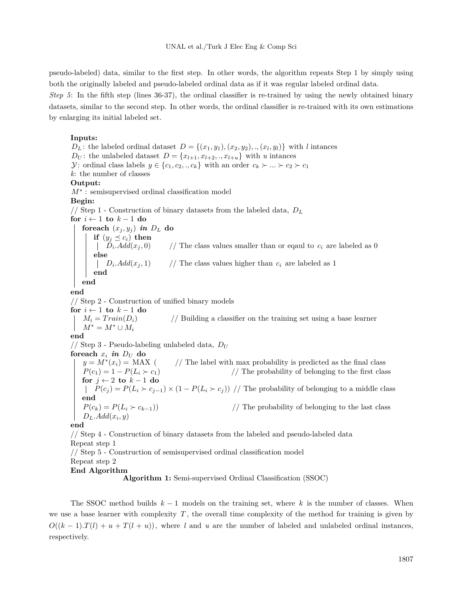pseudo-labeled) data, similar to the first step. In other words, the algorithm repeats Step 1 by simply using both the originally labeled and pseudo-labeled ordinal data as if it was regular labeled ordinal data.

*Step 5*: In the fifth step (lines 36-37), the ordinal classifier is re-trained by using the newly obtained binary datasets, similar to the second step. In other words, the ordinal classifier is re-trained with its own estimations by enlarging its initial labeled set.

## **Inputs:**

*D*<sub>L</sub>: the labeled ordinal dataset  $D = \{(x_1, y_1), (x_2, y_2), \ldots, (x_l, y_l)\}$  with *l* intances *D*<sub>*U*</sub>: the unlabeled dataset  $D = \{x_{l+1}, x_{l+2}, \ldots, x_{l+u}\}$  with *u* intances *Y*: ordinal class labels  $y \in \{c_1, c_2, \ldots, c_k\}$  with an order  $c_k \succ \ldots \succ c_2 \succ c_1$ *k*: the number of classes **Output:** *M∗* : semisupervised ordinal classification model **Begin:** // Step 1 - Construction of binary datasets from the labeled data, *D<sup>L</sup>* **for** *i ←* 1 **to** *k −* 1 **do foreach**  $(x_j, y_j)$  *in*  $D_L$  do **if**  $(y_j \preceq c_i)$  **then**  $\left| D_i \text{.} Add(x_j, 0) \right|$  $\frac{A}{A}$  The class values smaller than or eqaul to  $c_i$  are labeled as 0 **else**  $D_i$ .*Add*( $x_j$ , 1) // The class values higher than  $c_i$  are labeled as 1 **end end end** // Step 2 - Construction of unified binary models **for** *i ←* 1 **to** *k −* 1 **do**  $M_i = Train(D_i)$  // Building a classifier on the training set using a base learner  $M^* = M^* \cup M_i$ **end**  $1/$  Step 3 - Pseudo-labeling unlabeled data,  $D_U$ foreach  $x_i$  *in*  $D_U$  do  $y = M^*(x_i) = \text{MAX}$  (  $\frac{1}{\sqrt{2}}$  The label with max probability is predicted as the final class  $P(c_1) = 1 - P(L_i \succ c_1)$  // The probability of belonging to the first class **for** *j ←* 2 **to** *k −* 1 **do** *P*( $c_j$ ) =  $P(L_i \succ c_{j-1}) \times (1 - P(L_i \succ c_j))$  // The probability of belonging to a middle class **end**  $P(c_k) = P(L_i \succ c_{k-1})$  // The probability of belonging to the last class *DL.Add*(*x<sup>i</sup> , y*) **end** // Step 4 - Construction of binary datasets from the labeled and pseudo-labeled data Repeat step 1 // Step 5 - Construction of semisupervised ordinal classification model Repeat step 2 **End Algorithm**

**Algorithm 1:** Semi-supervised Ordinal Classification (SSOC)

The SSOC method builds *k −* 1 models on the training set, where *k* is the number of classes. When we use a base learner with complexity *T* , the overall time complexity of the method for training is given by  $O((k-1) \cdot T(l) + u + T(l+u))$ , where *l* and *u* are the number of labeled and unlabeled ordinal instances, respectively.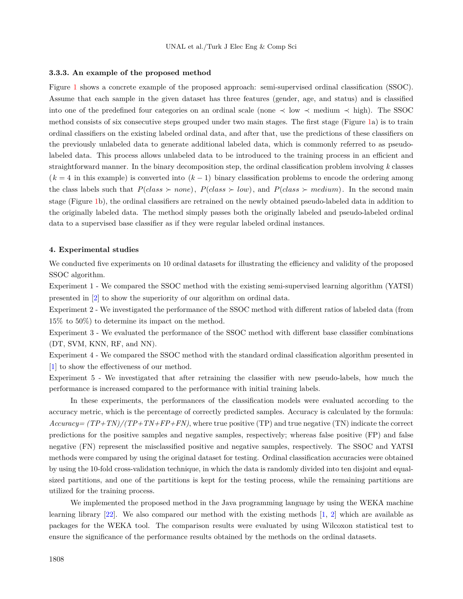#### **3.3.3. An example of the proposed method**

Figure [1](#page-12-0) shows a concrete example of the proposed approach: semi-supervised ordinal classification (SSOC). Assume that each sample in the given dataset has three features (gender, age, and status) and is classified into one of the predefined four categories on an ordinal scale (none *≺* low *≺* medium *≺* high). The SSOC method consists of six consecutive steps grouped under two main stages. The first stage (Figure [1a](#page-12-0)) is to train ordinal classifiers on the existing labeled ordinal data, and after that, use the predictions of these classifiers on the previously unlabeled data to generate additional labeled data, which is commonly referred to as pseudolabeled data. This process allows unlabeled data to be introduced to the training process in an efficient and straightforward manner. In the binary decomposition step, the ordinal classification problem involving *k* classes (*k* = 4 in this example) is converted into (*k −* 1) binary classification problems to encode the ordering among the class labels such that  $P(\text{class} \succ \text{none})$ ,  $P(\text{class} \succ \text{low})$ , and  $P(\text{class} \succ \text{medium})$ . In the second main stage (Figure [1](#page-12-0)b), the ordinal classifiers are retrained on the newly obtained pseudo-labeled data in addition to the originally labeled data. The method simply passes both the originally labeled and pseudo-labeled ordinal data to a supervised base classifier as if they were regular labeled ordinal instances.

#### **4. Experimental studies**

We conducted five experiments on 10 ordinal datasets for illustrating the efficiency and validity of the proposed SSOC algorithm.

Experiment 1 - We compared the SSOC method with the existing semi-supervised learning algorithm (YATSI) presented in [[2\]](#page-22-1) to show the superiority of our algorithm on ordinal data.

Experiment 2 - We investigated the performance of the SSOC method with different ratios of labeled data (from 15% to 50%) to determine its impact on the method.

Experiment 3 - We evaluated the performance of the SSOC method with different base classifier combinations (DT, SVM, KNN, RF, and NN).

Experiment 4 - We compared the SSOC method with the standard ordinal classification algorithm presented in [[1\]](#page-22-0) to show the effectiveness of our method.

Experiment 5 - We investigated that after retraining the classifier with new pseudo-labels, how much the performance is increased compared to the performance with initial training labels.

In these experiments, the performances of the classification models were evaluated according to the accuracy metric, which is the percentage of correctly predicted samples. Accuracy is calculated by the formula: *Accuracy= (TP+TN)/(TP+TN+FP+FN)*, where true positive (TP) and true negative (TN) indicate the correct predictions for the positive samples and negative samples, respectively; whereas false positive (FP) and false negative (FN) represent the misclassified positive and negative samples, respectively. The SSOC and YATSI methods were compared by using the original dataset for testing. Ordinal classification accuracies were obtained by using the 10-fold cross-validation technique, in which the data is randomly divided into ten disjoint and equalsized partitions, and one of the partitions is kept for the testing process, while the remaining partitions are utilized for the training process.

We implemented the proposed method in the Java programming language by using the WEKA machine learning library [[22\]](#page-23-14). We also compared our method with the existing methods [[1,](#page-22-0) [2\]](#page-22-1) which are available as packages for the WEKA tool. The comparison results were evaluated by using Wilcoxon statistical test to ensure the significance of the performance results obtained by the methods on the ordinal datasets.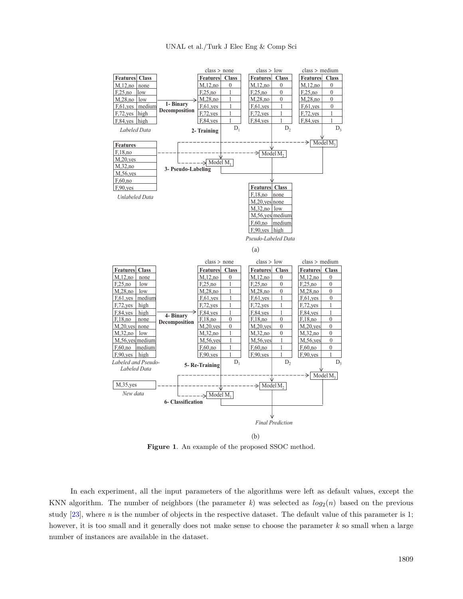

<span id="page-12-0"></span>(b)

**Figure 1**. An example of the proposed SSOC method.

In each experiment, all the input parameters of the algorithms were left as default values, except the KNN algorithm. The number of neighbors (the parameter  $k$ ) was selected as  $log_2(n)$  based on the previous study [[23\]](#page-23-15), where *n* is the number of objects in the respective dataset. The default value of this parameter is 1; however, it is too small and it generally does not make sense to choose the parameter *k* so small when a large number of instances are available in the dataset.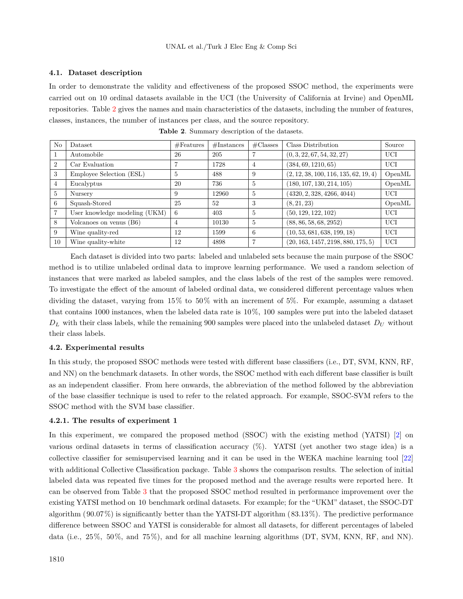## **4.1. Dataset description**

In order to demonstrate the validity and effectiveness of the proposed SSOC method, the experiments were carried out on 10 ordinal datasets available in the UCI (the University of California at Irvine) and OpenML repositories. Table [2](#page-13-0) gives the names and main characteristics of the datasets, including the number of features, classes, instances, the number of instances per class, and the source repository.

<span id="page-13-0"></span>

| N <sub>o</sub> | Dataset                       | #Features | #Instances | $\#\text{Classes}$ | Class Distribution                    | Source     |
|----------------|-------------------------------|-----------|------------|--------------------|---------------------------------------|------------|
|                | Automobile                    | 26        | 205        |                    | (0, 3, 22, 67, 54, 32, 27)            | UCI        |
| $\overline{2}$ | Car Evaluation                |           | 1728       | 4                  | (384, 69, 1210, 65)                   | UCI        |
| 3              | Employee Selection (ESL)      | 5         | 488        | 9                  | (2, 12, 38, 100, 116, 135, 62, 19, 4) | OpenML     |
| $\overline{4}$ | Eucalyptus                    | 20        | 736        | 5                  | (180, 107, 130, 214, 105)             | OpenML     |
| $\overline{5}$ | Nursery                       | 9         | 12960      | $\overline{5}$     | (4320, 2, 328, 4266, 4044)            | UCI        |
| 6              | Squash-Stored                 | 25        | 52         | 3                  | (8, 21, 23)                           | OpenML     |
|                | User knowledge modeling (UKM) | 6         | 403        | $\sqrt{2}$         | (50, 129, 122, 102)                   | UCI        |
| 8              | Volcanoes on venus (B6)       | 4         | 10130      | $\overline{5}$     | (88, 86, 58, 68, 2952)                | UCI        |
| 9              | Wine quality-red              | 12        | 1599       | -6                 | (10, 53, 681, 638, 199, 18)           | <b>UCI</b> |
| 10             | Wine quality-white            | 12        | 4898       | 7                  | (20, 163, 1457, 2198, 880, 175, 5)    | UCI        |

**Table 2**. Summary description of the datasets.

Each dataset is divided into two parts: labeled and unlabeled sets because the main purpose of the SSOC method is to utilize unlabeled ordinal data to improve learning performance. We used a random selection of instances that were marked as labeled samples, and the class labels of the rest of the samples were removed. To investigate the effect of the amount of labeled ordinal data, we considered different percentage values when dividing the dataset, varying from 15% to 50% with an increment of 5%. For example, assuming a dataset that contains 1000 instances, when the labeled data rate is 10%, 100 samples were put into the labeled dataset *D<sup>L</sup>* with their class labels, while the remaining 900 samples were placed into the unlabeled dataset *D<sup>U</sup>* without their class labels.

#### **4.2. Experimental results**

In this study, the proposed SSOC methods were tested with different base classifiers (i.e., DT, SVM, KNN, RF, and NN) on the benchmark datasets. In other words, the SSOC method with each different base classifier is built as an independent classifier. From here onwards, the abbreviation of the method followed by the abbreviation of the base classifier technique is used to refer to the related approach. For example, SSOC-SVM refers to the SSOC method with the SVM base classifier.

#### **4.2.1. The results of experiment 1**

In this experiment, we compared the proposed method (SSOC) with the existing method (YATSI) [[2\]](#page-22-1) on various ordinal datasets in terms of classification accuracy (%). YATSI (yet another two stage idea) is a collective classifier for semisupervised learning and it can be used in the WEKA machine learning tool [\[22](#page-23-14)] with additional Collective Classification package. Table [3](#page-15-0) shows the comparison results. The selection of initial labeled data was repeated five times for the proposed method and the average results were reported here. It can be observed from Table [3](#page-15-0) that the proposed SSOC method resulted in performance improvement over the existing YATSI method on 10 benchmark ordinal datasets. For example; for the "UKM" dataset, the SSOC-DT algorithm (90*.*07%) is significantly better than the YATSI-DT algorithm (83*.*13%). The predictive performance difference between SSOC and YATSI is considerable for almost all datasets, for different percentages of labeled data (i.e., 25%, 50%, and 75%), and for all machine learning algorithms (DT, SVM, KNN, RF, and NN).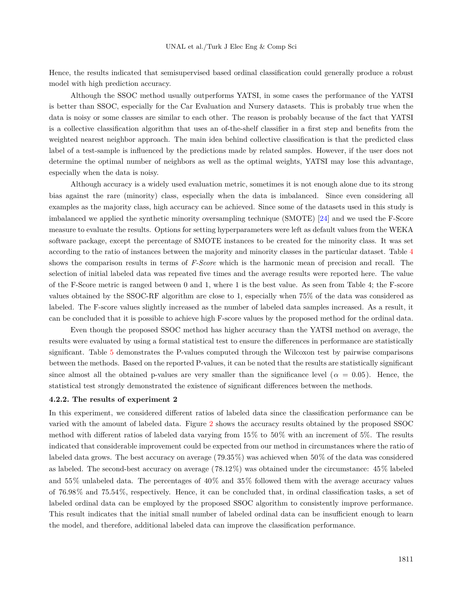Hence, the results indicated that semisupervised based ordinal classification could generally produce a robust model with high prediction accuracy.

Although the SSOC method usually outperforms YATSI, in some cases the performance of the YATSI is better than SSOC, especially for the Car Evaluation and Nursery datasets. This is probably true when the data is noisy or some classes are similar to each other. The reason is probably because of the fact that YATSI is a collective classification algorithm that uses an of-the-shelf classifier in a first step and benefits from the weighted nearest neighbor approach. The main idea behind collective classification is that the predicted class label of a test-sample is influenced by the predictions made by related samples. However, if the user does not determine the optimal number of neighbors as well as the optimal weights, YATSI may lose this advantage, especially when the data is noisy.

Although accuracy is a widely used evaluation metric, sometimes it is not enough alone due to its strong bias against the rare (minority) class, especially when the data is imbalanced. Since even considering all examples as the majority class, high accuracy can be achieved. Since some of the datasets used in this study is imbalanced we applied the synthetic minority oversampling technique (SMOTE) [\[24](#page-23-16)] and we used the F-Score measure to evaluate the results. Options for setting hyperparameters were left as default values from the WEKA software package, except the percentage of SMOTE instances to be created for the minority class. It was set according to the ratio of instances between the majority and minority classes in the particular dataset. Table [4](#page-16-0) shows the comparison results in terms of *F-Score* which is the harmonic mean of precision and recall. The selection of initial labeled data was repeated five times and the average results were reported here. The value of the F-Score metric is ranged between 0 and 1, where 1 is the best value. As seen from Table 4; the F-score values obtained by the SSOC-RF algorithm are close to 1, especially when 75% of the data was considered as labeled. The F-score values slightly increased as the number of labeled data samples increased. As a result, it can be concluded that it is possible to achieve high F-score values by the proposed method for the ordinal data.

Even though the proposed SSOC method has higher accuracy than the YATSI method on average, the results were evaluated by using a formal statistical test to ensure the differences in performance are statistically significant. Table [5](#page-16-1) demonstrates the P-values computed through the Wilcoxon test by pairwise comparisons between the methods. Based on the reported P-values, it can be noted that the results are statistically significant since almost all the obtained p-values are very smaller than the significance level ( $\alpha = 0.05$ ). Hence, the statistical test strongly demonstrated the existence of significant differences between the methods.

# **4.2.2. The results of experiment 2**

In this experiment, we considered different ratios of labeled data since the classification performance can be varied with the amount of labeled data. Figure [2](#page-17-0) shows the accuracy results obtained by the proposed SSOC method with different ratios of labeled data varying from 15% to 50% with an increment of 5%. The results indicated that considerable improvement could be expected from our method in circumstances where the ratio of labeled data grows. The best accuracy on average (79*.*35%) was achieved when 50% of the data was considered as labeled. The second-best accuracy on average (78*.*12%) was obtained under the circumstance: 45% labeled and 55% unlabeled data. The percentages of 40% and 35% followed them with the average accuracy values of 76*.*98% and 75*.*54%, respectively. Hence, it can be concluded that, in ordinal classification tasks, a set of labeled ordinal data can be employed by the proposed SSOC algorithm to consistently improve performance. This result indicates that the initial small number of labeled ordinal data can be insufficient enough to learn the model, and therefore, additional labeled data can improve the classification performance.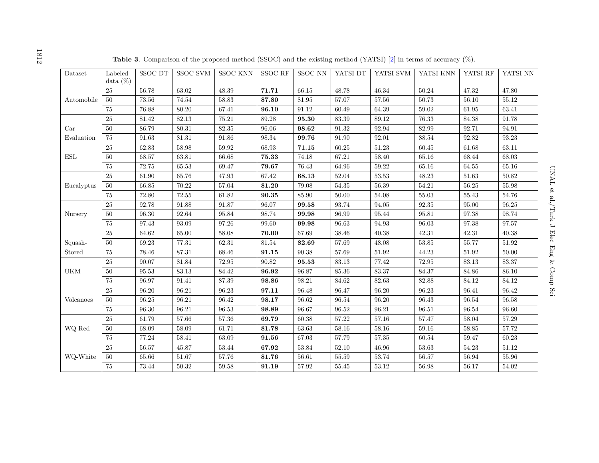<span id="page-15-0"></span>

| Dataset              | Labeled     | $\operatorname{SSOC-DT}$ | SSOC-SVM  | SSOC-KNN  | SSOC-RF                  | SSOC-NN      | YATSI-DT  | YATSI-SVM | YATSI-KNN | YATSI-RF  | YATSI-NN  |
|----------------------|-------------|--------------------------|-----------|-----------|--------------------------|--------------|-----------|-----------|-----------|-----------|-----------|
|                      | data $(\%)$ |                          |           |           |                          |              |           |           |           |           |           |
|                      | 25          | 56.78                    | 63.02     | 48.39     | 71.71                    | 66.15        | 48.78     | 46.34     | 50.24     | 47.32     | 47.80     |
| Automobile           | 50          | 73.56                    | 74.54     | 58.83     | 87.80                    | 81.95        | 57.07     | 57.56     | 50.73     | 56.10     | 55.12     |
|                      | $75\,$      | $76.88\,$                | 80.20     | 67.41     | 96.10                    | 91.12        | 60.49     | 64.39     | 59.02     | 61.95     | 63.41     |
|                      | $25\,$      | 81.42                    | 82.13     | 75.21     | 89.28                    | 95.30        | 83.39     | 89.12     | 76.33     | 84.38     | 91.78     |
| Car                  | $50\,$      | 86.79                    | $80.31\,$ | $82.35\,$ | $96.06\,$                | 98.62        | $91.32\,$ | $92.94\,$ | 82.99     | 92.71     | $94.91\,$ |
| Evaluation           | $75\,$      | $91.63\,$                | $81.31\,$ | 91.86     | $98.34\,$                | $\bf{99.76}$ | 91.90     | 92.01     | $88.54\,$ | 92.82     | 93.23     |
|                      | $25\,$      | 62.83                    | $58.98\,$ | 59.92     | 68.93                    | 71.15        | 60.25     | 51.23     | 60.45     | 61.68     | 63.11     |
| $\operatorname{ESL}$ | $50\,$      | 68.57                    | 63.81     | 66.68     | $\bf 75.33$              | 74.18        | 67.21     | 58.40     | $65.16\,$ | 68.44     | 68.03     |
|                      | $75\,$      | 72.75                    | $65.53\,$ | 69.47     | 79.67                    | 76.43        | 64.96     | 59.22     | $65.16\,$ | 64.55     | $65.16\,$ |
|                      | $25\,$      | 61.90                    | 65.76     | 47.93     | 67.42                    | 68.13        | 52.04     | 53.53     | 48.23     | 51.63     | 50.82     |
| Eucalyptus           | $50\,$      | 66.85                    | 70.22     | 57.04     | 81.20                    | 79.08        | $54.35\,$ | 56.39     | 54.21     | 56.25     | 55.98     |
|                      | 75          | 72.80                    | 72.55     | 61.82     | 90.35                    | 85.90        | 50.00     | 54.08     | 55.03     | 55.43     | 54.76     |
|                      | 25          | 92.78                    | 91.88     | 91.87     | 96.07                    | 99.58        | 93.74     | 94.05     | 92.35     | 95.00     | 96.25     |
| Nursery              | $50\,$      | 96.30                    | 92.64     | 95.84     | 98.74                    | 99.98        | 96.99     | 95.44     | 95.81     | 97.38     | 98.74     |
|                      | 75          | 97.43                    | 93.09     | 97.26     | 99.60                    | 99.98        | 96.63     | 94.93     | 96.03     | 97.38     | 97.57     |
|                      | 25          | 64.62                    | $65.00\,$ | 58.08     | 70.00                    | 67.69        | 38.46     | 40.38     | 42.31     | 42.31     | 40.38     |
| Squash-              | $50\,$      | 69.23                    | $77.31\,$ | 62.31     | $81.54\,$                | 82.69        | 57.69     | 48.08     | $53.85\,$ | 55.77     | $51.92\,$ |
| Stored               | 75          | 78.46                    | $87.31\,$ | 68.46     | $\bf{91.15}$             | 90.38        | 57.69     | 51.92     | 44.23     | 51.92     | 50.00     |
|                      | $25\,$      | 90.07                    | $81.84\,$ | $72.95\,$ | $\boldsymbol{90.82}$     | $\bf{95.53}$ | $83.13\,$ | $77.42\,$ | $72.95\,$ | $83.13\,$ | $83.37\,$ |
| UKM                  | $50\,$      | 95.53                    | $83.13\,$ | 84.42     | 96.92                    | 96.87        | $85.36\,$ | $83.37\,$ | $84.37\,$ | 84.86     | 86.10     |
|                      | 75          | 96.97                    | 91.41     | 87.39     | 98.86                    | 98.21        | 84.62     | 82.63     | 82.88     | 84.12     | 84.12     |
|                      | 25          | 96.20                    | 96.21     | 96.23     | 97.11                    | 96.48        | 96.47     | 96.20     | 96.23     | 96.41     | 96.42     |
| Volcanoes            | $50\,$      | 96.25                    | $96.21\,$ | 96.42     | 98.17                    | 96.62        | 96.54     | 96.20     | 96.43     | 96.54     | 96.58     |
|                      | 75          | 96.30                    | 96.21     | 96.53     | 98.89                    | 96.67        | 96.52     | 96.21     | 96.51     | 96.54     | 96.60     |
|                      | $25\,$      | 61.79                    | 57.66     | 57.36     | 69.79                    | 60.38        | 57.22     | 57.16     | 57.47     | 58.04     | 57.29     |
| WQ-Red               | 50          | 68.09                    | 58.09     | 61.71     | 81.78                    | 63.63        | 58.16     | 58.16     | 59.16     | 58.85     | 57.72     |
|                      | 75          | 77.24                    | 58.41     | 63.09     | 91.56                    | 67.03        | 57.79     | $57.35\,$ | 60.54     | 59.47     | 60.23     |
|                      | $25\,$      | 56.57                    | $45.87\,$ | $53.44\,$ | 67.92                    | $53.84\,$    | $52.10\,$ | $46.96\,$ | $53.63\,$ | 54.23     | 51.12     |
| WQ-White             | 50          | $65.66\,$                | $51.67\,$ | 57.76     | $\textcolor{red}{81.76}$ | 56.61        | $55.59\,$ | $53.74\,$ | 56.57     | 56.94     | $55.96\,$ |
|                      | 75          | 73.44                    | 50.32     | 59.58     | 91.19                    | 57.92        | 55.45     | 53.12     | 56.98     | 56.17     | 54.02     |

**Table <sup>3</sup>**. Comparison of the proposed method (SSOC) and the existing method (YATSI) [[2\]](#page-22-7) in terms of accuracy (%).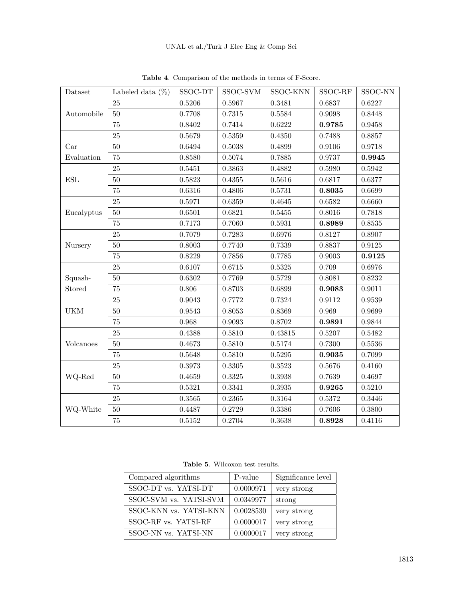<span id="page-16-0"></span>

| Dataset    | Labeled data $(\%)$ | SSOC-DT    | SSOC-SVM   | SSOC-KNN   | SSOC-RF | SSOC-NN    |
|------------|---------------------|------------|------------|------------|---------|------------|
|            | 25                  | 0.5206     | 0.5967     | 0.3481     | 0.6837  | 0.6227     |
| Automobile | $50\,$              | 0.7708     | 0.7315     | 0.5584     | 0.9098  | 0.8448     |
|            | $75\,$              | 0.8402     | 0.7414     | 0.6222     | 0.9785  | 0.9458     |
|            | 25                  | 0.5679     | 0.5359     | 0.4350     | 0.7488  | 0.8857     |
| Car        | $50\,$              | 0.6494     | $0.5038\,$ | 0.4899     | 0.9106  | 0.9718     |
| Evaluation | $75\,$              | 0.8580     | 0.5074     | 0.7885     | 0.9737  | 0.9945     |
|            | 25                  | 0.5451     | 0.3863     | 0.4882     | 0.5980  | 0.5942     |
| ESL        | $50\,$              | 0.5823     | 0.4355     | 0.5616     | 0.6817  | 0.6377     |
|            | 75                  | 0.6316     | 0.4806     | 0.5731     | 0.8035  | 0.6699     |
|            | $25\,$              | 0.5971     | 0.6359     | 0.4645     | 0.6582  | 0.6660     |
| Eucalyptus | 50                  | 0.6501     | 0.6821     | 0.5455     | 0.8016  | 0.7818     |
|            | $75\,$              | 0.7173     | 0.7060     | 0.5931     | 0.8989  | $0.8535\,$ |
| Nursery    | 25                  | 0.7079     | 0.7283     | 0.6976     | 0.8127  | 0.8907     |
|            | 50                  | 0.8003     | 0.7740     | 0.7339     | 0.8837  | 0.9125     |
|            | 75                  | 0.8229     | 0.7856     | 0.7785     | 0.9003  | 0.9125     |
|            | $25\,$              | 0.6107     | $0.6715\,$ | $0.5325\,$ | 0.709   | 0.6976     |
| Squash-    | $50\,$              | 0.6302     | 0.7769     | 0.5729     | 0.8081  | 0.8232     |
| Stored     | 75                  | 0.806      | 0.8703     | 0.6899     | 0.9083  | 0.9011     |
|            | 25                  | 0.9043     | 0.7772     | 0.7324     | 0.9112  | 0.9539     |
| <b>UKM</b> | $50\,$              | 0.9543     | 0.8053     | 0.8369     | 0.969   | 0.9699     |
|            | 75                  | 0.968      | 0.9093     | 0.8702     | 0.9891  | 0.9844     |
|            | 25                  | 0.4388     | 0.5810     | 0.43815    | 0.5207  | 0.5482     |
| Volcanoes  | 50                  | 0.4673     | 0.5810     | 0.5174     | 0.7300  | 0.5536     |
|            | $75\,$              | 0.5648     | 0.5810     | 0.5295     | 0.9035  | 0.7099     |
|            | 25                  | 0.3973     | 0.3305     | 0.3523     | 0.5676  | 0.4160     |
| WQ-Red     | $50\,$              | 0.4659     | $0.3325\,$ | 0.3938     | 0.7639  | 0.4697     |
|            | 75                  | 0.5321     | 0.3341     | $0.3935\,$ | 0.9265  | 0.5210     |
|            | $25\,$              | $0.3565\,$ | 0.2365     | 0.3164     | 0.5372  | 0.3446     |
| WQ-White   | $50\,$              | 0.4487     | 0.2729     | 0.3386     | 0.7606  | 0.3800     |
|            | 75                  | 0.5152     | 0.2704     | 0.3638     | 0.8928  | 0.4116     |

**Table 4**. Comparison of the methods in terms of F-Score.

**Table 5**. Wilcoxon test results.

<span id="page-16-1"></span>

| Compared algorithms    | P-value   | Significance level |
|------------------------|-----------|--------------------|
| SSOC-DT vs. YATSI-DT   | 0.0000971 | very strong        |
| SSOC-SVM vs. YATSI-SVM | 0.0349977 | strong             |
| SSOC-KNN vs. YATSI-KNN | 0.0028530 | very strong        |
| SSOC-RF vs. YATSI-RF   | 0.0000017 | very strong        |
| SSOC-NN vs. YATSI-NN   | 0.0000017 | very strong        |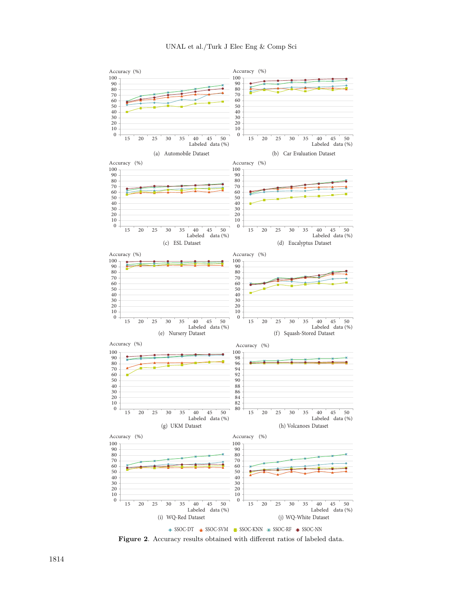

<span id="page-17-0"></span>**Figure 2**. Accuracy results obtained with different ratios of labeled data.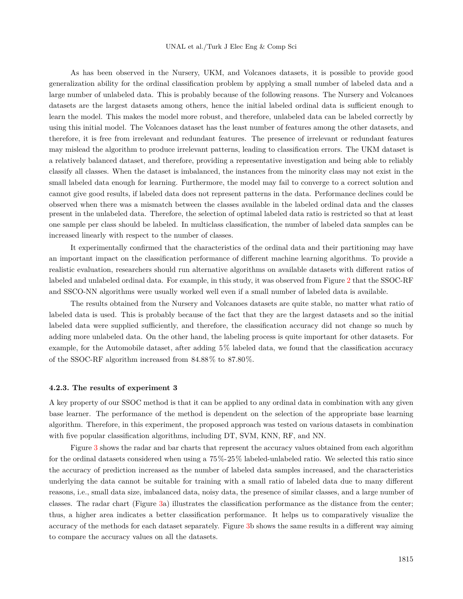As has been observed in the Nursery, UKM, and Volcanoes datasets, it is possible to provide good generalization ability for the ordinal classification problem by applying a small number of labeled data and a large number of unlabeled data. This is probably because of the following reasons. The Nursery and Volcanoes datasets are the largest datasets among others, hence the initial labeled ordinal data is sufficient enough to learn the model. This makes the model more robust, and therefore, unlabeled data can be labeled correctly by using this initial model. The Volcanoes dataset has the least number of features among the other datasets, and therefore, it is free from irrelevant and redundant features. The presence of irrelevant or redundant features may mislead the algorithm to produce irrelevant patterns, leading to classification errors. The UKM dataset is a relatively balanced dataset, and therefore, providing a representative investigation and being able to reliably classify all classes. When the dataset is imbalanced, the instances from the minority class may not exist in the small labeled data enough for learning. Furthermore, the model may fail to converge to a correct solution and cannot give good results, if labeled data does not represent patterns in the data. Performance declines could be observed when there was a mismatch between the classes available in the labeled ordinal data and the classes present in the unlabeled data. Therefore, the selection of optimal labeled data ratio is restricted so that at least one sample per class should be labeled. In multiclass classification, the number of labeled data samples can be increased linearly with respect to the number of classes.

It experimentally confirmed that the characteristics of the ordinal data and their partitioning may have an important impact on the classification performance of different machine learning algorithms. To provide a realistic evaluation, researchers should run alternative algorithms on available datasets with different ratios of labeled and unlabeled ordinal data. For example, in this study, it was observed from Figure [2](#page-17-0) that the SSOC-RF and SSCO-NN algorithms were usually worked well even if a small number of labeled data is available.

The results obtained from the Nursery and Volcanoes datasets are quite stable, no matter what ratio of labeled data is used. This is probably because of the fact that they are the largest datasets and so the initial labeled data were supplied sufficiently, and therefore, the classification accuracy did not change so much by adding more unlabeled data. On the other hand, the labeling process is quite important for other datasets. For example, for the Automobile dataset, after adding 5% labeled data, we found that the classification accuracy of the SSOC-RF algorithm increased from 84*.*88% to 87*.*80%.

#### **4.2.3. The results of experiment 3**

A key property of our SSOC method is that it can be applied to any ordinal data in combination with any given base learner. The performance of the method is dependent on the selection of the appropriate base learning algorithm. Therefore, in this experiment, the proposed approach was tested on various datasets in combination with five popular classification algorithms, including DT, SVM, KNN, RF, and NN.

Figure [3](#page-19-0) shows the radar and bar charts that represent the accuracy values obtained from each algorithm for the ordinal datasets considered when using a 75%-25% labeled-unlabeled ratio. We selected this ratio since the accuracy of prediction increased as the number of labeled data samples increased, and the characteristics underlying the data cannot be suitable for training with a small ratio of labeled data due to many different reasons, i.e., small data size, imbalanced data, noisy data, the presence of similar classes, and a large number of classes. The radar chart (Figure [3](#page-19-0)a) illustrates the classification performance as the distance from the center; thus, a higher area indicates a better classification performance. It helps us to comparatively visualize the accuracy of the methods for each dataset separately. Figure [3b](#page-19-0) shows the same results in a different way aiming to compare the accuracy values on all the datasets.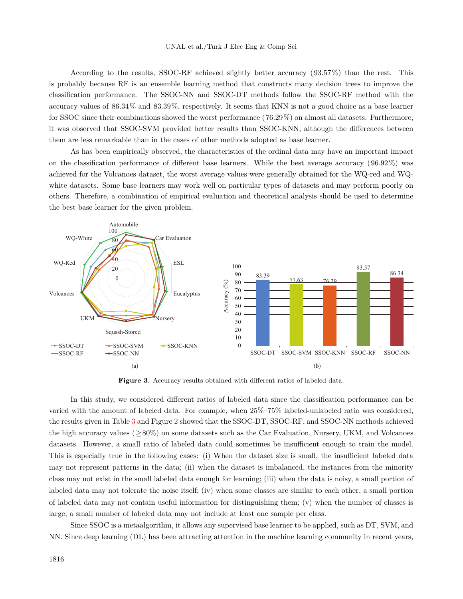According to the results, SSOC-RF achieved slightly better accuracy (93*.*57%) than the rest. This is probably because RF is an ensemble learning method that constructs many decision trees to improve the classification performance. The SSOC-NN and SSOC-DT methods follow the SSOC-RF method with the accuracy values of 86*.*34% and 83*.*39%, respectively. It seems that KNN is not a good choice as a base learner for SSOC since their combinations showed the worst performance (76*.*29%) on almost all datasets. Furthermore, it was observed that SSOC-SVM provided better results than SSOC-KNN, although the differences between them are less remarkable than in the cases of other methods adopted as base learner.

As has been empirically observed, the characteristics of the ordinal data may have an important impact on the classification performance of different base learners. While the best average accuracy (96*.*92%) was achieved for the Volcanoes dataset, the worst average values were generally obtained for the WQ-red and WQwhite datasets. Some base learners may work well on particular types of datasets and may perform poorly on others. Therefore, a combination of empirical evaluation and theoretical analysis should be used to determine the best base learner for the given problem.



<span id="page-19-0"></span>**Figure 3**. Accuracy results obtained with different ratios of labeled data.

In this study, we considered different ratios of labeled data since the classification performance can be varied with the amount of labeled data. For example, when 25%–75% labeled-unlabeled ratio was considered, the results given in Table [3](#page-15-0) and Figure [2](#page-17-0) showed that the SSOC-DT, SSOC-RF, and SSOC-NN methods achieved the high accuracy values (*≥*80%) on some datasets such as the Car Evaluation, Nursery, UKM, and Volcanoes datasets. However, a small ratio of labeled data could sometimes be insufficient enough to train the model. This is especially true in the following cases: (i) When the dataset size is small, the insufficient labeled data may not represent patterns in the data; (ii) when the dataset is imbalanced, the instances from the minority class may not exist in the small labeled data enough for learning; (iii) when the data is noisy, a small portion of labeled data may not tolerate the noise itself; (iv) when some classes are similar to each other, a small portion of labeled data may not contain useful information for distinguishing them; (v) when the number of classes is large, a small number of labeled data may not include at least one sample per class.

Since SSOC is a metaalgorithm, it allows any supervised base learner to be applied, such as DT, SVM, and NN. Since deep learning (DL) has been attracting attention in the machine learning community in recent years,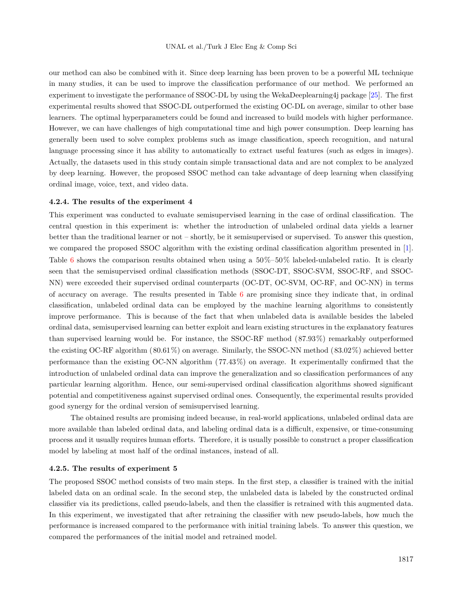our method can also be combined with it. Since deep learning has been proven to be a powerful ML technique in many studies, it can be used to improve the classification performance of our method. We performed an experiment to investigate the performance of SSOC-DL by using the WekaDeeplearning4j package [\[25](#page-23-17)]. The first experimental results showed that SSOC-DL outperformed the existing OC-DL on average, similar to other base learners. The optimal hyperparameters could be found and increased to build models with higher performance. However, we can have challenges of high computational time and high power consumption. Deep learning has generally been used to solve complex problems such as image classification, speech recognition, and natural language processing since it has ability to automatically to extract useful features (such as edges in images). Actually, the datasets used in this study contain simple transactional data and are not complex to be analyzed by deep learning. However, the proposed SSOC method can take advantage of deep learning when classifying ordinal image, voice, text, and video data.

#### **4.2.4. The results of the experiment 4**

This experiment was conducted to evaluate semisupervised learning in the case of ordinal classification. The central question in this experiment is: whether the introduction of unlabeled ordinal data yields a learner better than the traditional learner or not – shortly, be it semisupervised or supervised. To answer this question, we compared the proposed SSOC algorithm with the existing ordinal classification algorithm presented in [\[1](#page-22-0)]. Table [6](#page-21-0) shows the comparison results obtained when using a  $50\%$ – $50\%$  labeled-unlabeled ratio. It is clearly seen that the semisupervised ordinal classification methods (SSOC-DT, SSOC-SVM, SSOC-RF, and SSOC-NN) were exceeded their supervised ordinal counterparts (OC-DT, OC-SVM, OC-RF, and OC-NN) in terms of accuracy on average. The results presented in Table [6](#page-21-0) are promising since they indicate that, in ordinal classification, unlabeled ordinal data can be employed by the machine learning algorithms to consistently improve performance. This is because of the fact that when unlabeled data is available besides the labeled ordinal data, semisupervised learning can better exploit and learn existing structures in the explanatory features than supervised learning would be. For instance, the SSOC-RF method (87*.*93%) remarkably outperformed the existing OC-RF algorithm (80*.*61%) on average. Similarly, the SSOC-NN method (83*.*02%) achieved better performance than the existing OC-NN algorithm (77*.*43%) on average. It experimentally confirmed that the introduction of unlabeled ordinal data can improve the generalization and so classification performances of any particular learning algorithm. Hence, our semi-supervised ordinal classification algorithms showed significant potential and competitiveness against supervised ordinal ones. Consequently, the experimental results provided good synergy for the ordinal version of semisupervised learning.

The obtained results are promising indeed because, in real-world applications, unlabeled ordinal data are more available than labeled ordinal data, and labeling ordinal data is a difficult, expensive, or time-consuming process and it usually requires human efforts. Therefore, it is usually possible to construct a proper classification model by labeling at most half of the ordinal instances, instead of all.

## **4.2.5. The results of experiment 5**

The proposed SSOC method consists of two main steps. In the first step, a classifier is trained with the initial labeled data on an ordinal scale. In the second step, the unlabeled data is labeled by the constructed ordinal classifier via its predictions, called pseudo-labels, and then the classifier is retrained with this augmented data. In this experiment, we investigated that after retraining the classifier with new pseudo-labels, how much the performance is increased compared to the performance with initial training labels. To answer this question, we compared the performances of the initial model and retrained model.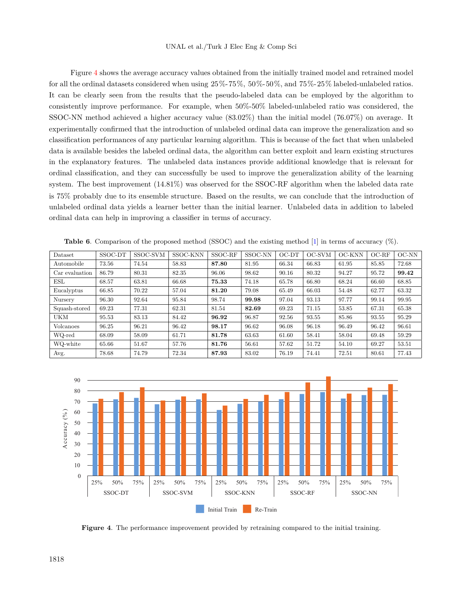Figure [4](#page-21-1) shows the average accuracy values obtained from the initially trained model and retrained model for all the ordinal datasets considered when using 25%-75%, 50%-50%, and 75%-25% labeled-unlabeled ratios. It can be clearly seen from the results that the pseudo-labeled data can be employed by the algorithm to consistently improve performance. For example, when 50%-50% labeled-unlabeled ratio was considered, the SSOC-NN method achieved a higher accuracy value (83.02%) than the initial model (76.07%) on average. It experimentally confirmed that the introduction of unlabeled ordinal data can improve the generalization and so classification performances of any particular learning algorithm. This is because of the fact that when unlabeled data is available besides the labeled ordinal data, the algorithm can better exploit and learn existing structures in the explanatory features. The unlabeled data instances provide additional knowledge that is relevant for ordinal classification, and they can successfully be used to improve the generalization ability of the learning system. The best improvement (14.81%) was observed for the SSOC-RF algorithm when the labeled data rate is 75% probably due to its ensemble structure. Based on the results, we can conclude that the introduction of unlabeled ordinal data yields a learner better than the initial learner. Unlabeled data in addition to labeled ordinal data can help in improving a classifier in terms of accuracy.

| Dataset        | SSOC-DT | SSOC-SVM | SSOC-KNN | SSOC-RF | SSOC-NN | $OC-DT$ | OC-SVM | OC-KNN | $OC-RF$ | $OC-NN$ |
|----------------|---------|----------|----------|---------|---------|---------|--------|--------|---------|---------|
| Automobile     | 73.56   | 74.54    | 58.83    | 87.80   | 81.95   | 66.34   | 66.83  | 61.95  | 85.85   | 72.68   |
| Car evaluation | 86.79   | 80.31    | 82.35    | 96.06   | 98.62   | 90.16   | 80.32  | 94.27  | 95.72   | 99.42   |
| ESL            | 68.57   | 63.81    | 66.68    | 75.33   | 74.18   | 65.78   | 66.80  | 68.24  | 66.60   | 68.85   |
| Eucalyptus     | 66.85   | 70.22    | 57.04    | 81.20   | 79.08   | 65.49   | 66.03  | 54.48  | 62.77   | 63.32   |
| Nursery        | 96.30   | 92.64    | 95.84    | 98.74   | 99.98   | 97.04   | 93.13  | 97.77  | 99.14   | 99.95   |
| Squash-stored  | 69.23   | 77.31    | 62.31    | 81.54   | 82.69   | 69.23   | 71.15  | 53.85  | 67.31   | 65.38   |
| <b>UKM</b>     | 95.53   | 83.13    | 84.42    | 96.92   | 96.87   | 92.56   | 93.55  | 85.86  | 93.55   | 95.29   |
| Volcanoes      | 96.25   | 96.21    | 96.42    | 98.17   | 96.62   | 96.08   | 96.18  | 96.49  | 96.42   | 96.61   |
| WQ-red         | 68.09   | 58.09    | 61.71    | 81.78   | 63.63   | 61.60   | 58.41  | 58.04  | 69.48   | 59.29   |
| WQ-white       | 65.66   | 51.67    | 57.76    | 81.76   | 56.61   | 57.62   | 51.72  | 54.10  | 69.27   | 53.51   |
| Avg.           | 78.68   | 74.79    | 72.34    | 87.93   | 83.02   | 76.19   | 74.41  | 72.51  | 80.61   | 77.43   |

<span id="page-21-0"></span>**Table 6**. Comparison of the proposed method (SSOC) and the existing method [\[1\]](#page-22-0) in terms of accuracy (%).



<span id="page-21-1"></span>**Figure 4**. The performance improvement provided by retraining compared to the initial training.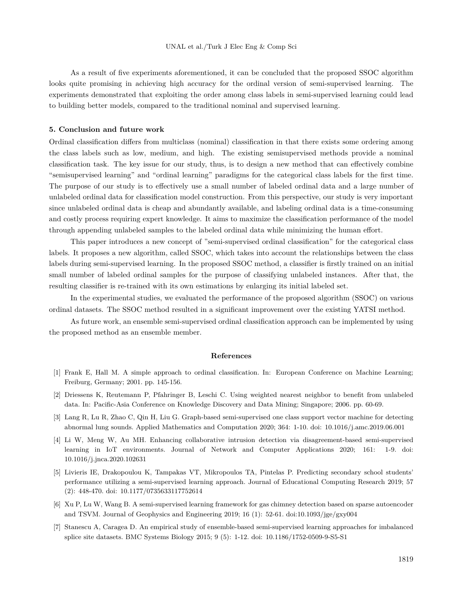<span id="page-22-7"></span>As a result of five experiments aforementioned, it can be concluded that the proposed SSOC algorithm looks quite promising in achieving high accuracy for the ordinal version of semi-supervised learning. The experiments demonstrated that exploiting the order among class labels in semi-supervised learning could lead to building better models, compared to the traditional nominal and supervised learning.

#### **5. Conclusion and future work**

Ordinal classification differs from multiclass (nominal) classification in that there exists some ordering among the class labels such as low, medium, and high. The existing semisupervised methods provide a nominal classification task. The key issue for our study, thus, is to design a new method that can effectively combine "semisupervised learning" and "ordinal learning" paradigms for the categorical class labels for the first time. The purpose of our study is to effectively use a small number of labeled ordinal data and a large number of unlabeled ordinal data for classification model construction. From this perspective, our study is very important since unlabeled ordinal data is cheap and abundantly available, and labeling ordinal data is a time-consuming and costly process requiring expert knowledge. It aims to maximize the classification performance of the model through appending unlabeled samples to the labeled ordinal data while minimizing the human effort.

This paper introduces a new concept of "semi-supervised ordinal classification" for the categorical class labels. It proposes a new algorithm, called SSOC, which takes into account the relationships between the class labels during semi-supervised learning. In the proposed SSOC method, a classifier is firstly trained on an initial small number of labeled ordinal samples for the purpose of classifying unlabeled instances. After that, the resulting classifier is re-trained with its own estimations by enlarging its initial labeled set.

In the experimental studies, we evaluated the performance of the proposed algorithm (SSOC) on various ordinal datasets. The SSOC method resulted in a significant improvement over the existing YATSI method.

As future work, an ensemble semi-supervised ordinal classification approach can be implemented by using the proposed method as an ensemble member.

#### **References**

- <span id="page-22-0"></span>[1] Frank E, Hall M. A simple approach to ordinal classification. In: European Conference on Machine Learning; Freiburg, Germany; 2001. pp. 145-156.
- <span id="page-22-1"></span>[2] Driessens K, Reutemann P, Pfahringer B, Leschi C. Using weighted nearest neighbor to benefit from unlabeled data. In: Pacific-Asia Conference on Knowledge Discovery and Data Mining; Singapore; 2006. pp. 60-69.
- <span id="page-22-2"></span>[3] Lang R, Lu R, Zhao C, Qin H, Liu G. Graph-based semi-supervised one class support vector machine for detecting abnormal lung sounds. Applied Mathematics and Computation 2020; 364: 1-10. doi: 10.1016/j.amc.2019.06.001
- <span id="page-22-3"></span>[4] Li W, Meng W, Au MH. Enhancing collaborative intrusion detection via disagreement-based semi-supervised learning in IoT environments. Journal of Network and Computer Applications 2020; 161: 1-9. doi: 10.1016/j.jnca.2020.102631
- <span id="page-22-4"></span>[5] Livieris IE, Drakopoulou K, Tampakas VT, Mikropoulos TA, Pintelas P. Predicting secondary school students' performance utilizing a semi-supervised learning approach. Journal of Educational Computing Research 2019; 57 (2): 448-470. doi: 10.1177/0735633117752614
- <span id="page-22-5"></span>[6] Xu P, Lu W, Wang B. A semi-supervised learning framework for gas chimney detection based on sparse autoencoder and TSVM. Journal of Geophysics and Engineering 2019; 16 (1): 52-61. doi:10.1093/jge/gxy004
- <span id="page-22-6"></span>[7] Stanescu A, Caragea D. An empirical study of ensemble-based semi-supervised learning approaches for imbalanced splice site datasets. BMC Systems Biology 2015; 9 (5): 1-12. doi: 10.1186/1752-0509-9-S5-S1